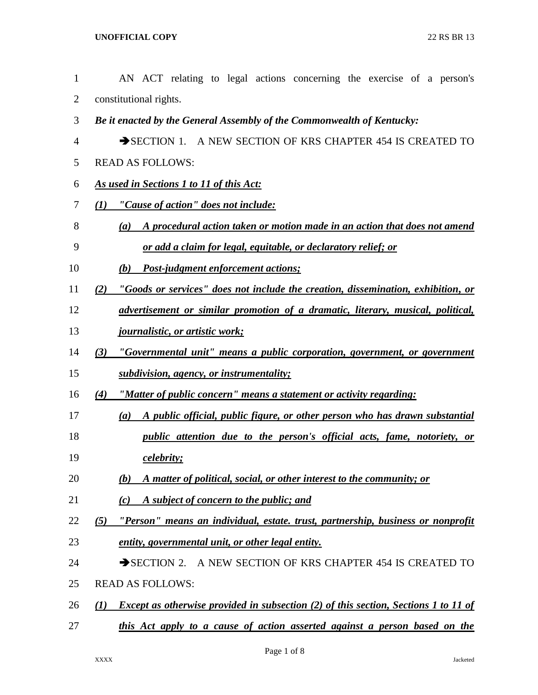| $\mathbf{1}$   | AN ACT relating to legal actions concerning the exercise of a person's                                  |
|----------------|---------------------------------------------------------------------------------------------------------|
| $\overline{2}$ | constitutional rights.                                                                                  |
| 3              | Be it enacted by the General Assembly of the Commonwealth of Kentucky:                                  |
| 4              | SECTION 1. A NEW SECTION OF KRS CHAPTER 454 IS CREATED TO                                               |
| 5              | <b>READ AS FOLLOWS:</b>                                                                                 |
| 6              | <b>As used in Sections 1 to 11 of this Act:</b>                                                         |
| 7              | "Cause of action" does not include:<br>(I)                                                              |
| 8              | A procedural action taken or motion made in an action that does not amend<br>(a)                        |
| 9              | or add a claim for legal, equitable, or declaratory relief; or                                          |
| 10             | Post-judgment enforcement actions;<br>(b)                                                               |
| 11             | "Goods or services" does not include the creation, dissemination, exhibition, or<br>(2)                 |
| 12             | advertisement or similar promotion of a dramatic, literary, musical, political,                         |
| 13             | <u>journalistic, or artistic work;</u>                                                                  |
| 14             | "Governmental unit" means a public corporation, government, or government<br>(3)                        |
| 15             | subdivision, agency, or instrumentality;                                                                |
| 16             | "Matter of public concern" means a statement or activity regarding:<br>(4)                              |
| 17             | A public official, public figure, or other person who has drawn substantial<br>(a)                      |
| 18             | public attention due to the person's official acts, fame, notoriety, or                                 |
| 19             | celebrity;                                                                                              |
| 20             | A matter of political, social, or other interest to the community; or<br>(b)                            |
| 21             | A subject of concern to the public; and<br>(c)                                                          |
| 22             | "Person" means an individual, estate. trust, partnership, business or nonprofit<br>(5)                  |
| 23             | entity, governmental unit, or other legal entity.                                                       |
| 24             | SECTION 2. A NEW SECTION OF KRS CHAPTER 454 IS CREATED TO                                               |
| 25             | <b>READ AS FOLLOWS:</b>                                                                                 |
| 26             | Except as otherwise provided in subsection (2) of this section, Sections 1 to 11 of<br>$\mathcal{L}(I)$ |
| 27             | this Act apply to a cause of action asserted against a person based on the                              |
|                |                                                                                                         |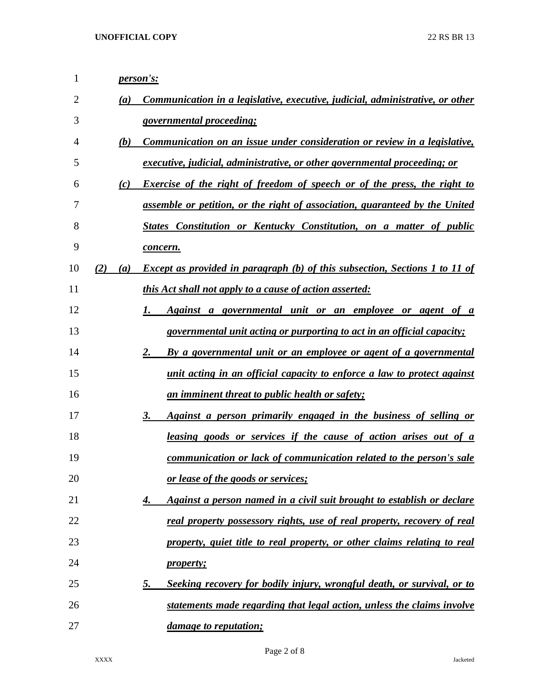| $\mathbf{1}$ |     |     | <i>person's:</i>                                                                    |
|--------------|-----|-----|-------------------------------------------------------------------------------------|
| 2            |     | (a) | Communication in a legislative, executive, judicial, administrative, or other       |
| 3            |     |     | governmental proceeding;                                                            |
| 4            |     | (b) | Communication on an issue under consideration or review in a legislative,           |
| 5            |     |     | <u>executive, judicial, administrative, or other governmental proceeding; or</u>    |
| 6            |     | (c) | <b>Exercise of the right of freedom of speech or of the press, the right to</b>     |
| 7            |     |     | assemble or petition, or the right of association, guaranteed by the United         |
| 8            |     |     | States Constitution or Kentucky Constitution, on a matter of public                 |
| 9            |     |     | concern.                                                                            |
| 10           | (2) | (a) | <b>Except as provided in paragraph (b) of this subsection, Sections 1 to 11 of</b>  |
| 11           |     |     | <i>this Act shall not apply to a cause of action asserted:</i>                      |
| 12           |     |     | Against a governmental unit or an employee or agent of a<br>1.                      |
| 13           |     |     | <i>governmental unit acting or purporting to act in an official capacity;</i>       |
| 14           |     |     | 2.<br>By a governmental unit or an employee or agent of a governmental              |
| 15           |     |     | unit acting in an official capacity to enforce a law to protect against             |
| 16           |     |     | <u>an imminent threat to public health or safety;</u>                               |
| 17           |     |     | 3.<br><u>Against a person primarily engaged in the business of selling or</u>       |
| 18           |     |     | <u>leasing goods or services if the cause of action arises out of a</u>             |
| 19           |     |     | communication or lack of communication related to the person's sale                 |
| 20           |     |     | <u>or lease of the goods or services;</u>                                           |
| 21           |     |     | Against a person named in a civil suit brought to establish or declare<br>4.        |
| 22           |     |     | real property possessory rights, use of real property, recovery of real             |
| 23           |     |     | property, quiet title to real property, or other claims relating to real            |
| 24           |     |     | <i>property;</i>                                                                    |
| 25           |     |     | Seeking recovery for bodily injury, wrongful death, or survival, or to<br><u>5.</u> |
| 26           |     |     | statements made regarding that legal action, unless the claims involve              |
| 27           |     |     | <i>damage to reputation;</i>                                                        |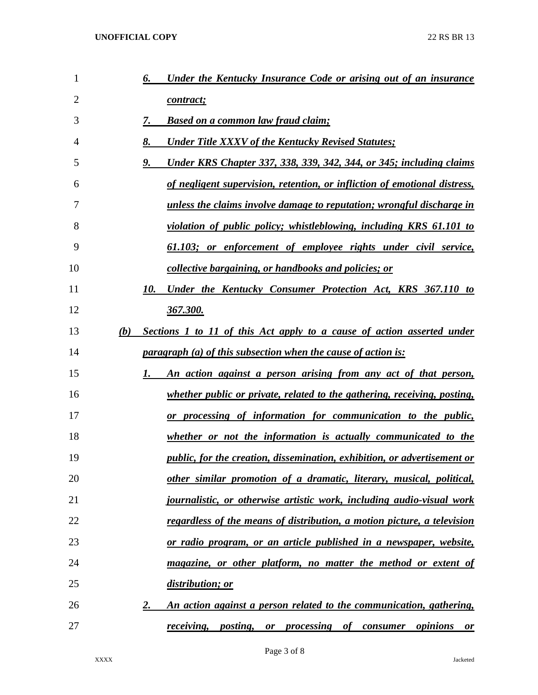| 1              | Under the Kentucky Insurance Code or arising out of an insurance<br>6.              |
|----------------|-------------------------------------------------------------------------------------|
| $\overline{2}$ | contract;                                                                           |
| 3              | 7.<br><b>Based on a common law fraud claim;</b>                                     |
| 4              | 8.<br><b>Under Title XXXV of the Kentucky Revised Statutes;</b>                     |
| 5              | 9.<br>Under KRS Chapter 337, 338, 339, 342, 344, or 345; including claims           |
| 6              | of negligent supervision, retention, or infliction of emotional distress,           |
| 7              | unless the claims involve damage to reputation; wrongful discharge in               |
| 8              | violation of public policy; whistleblowing, including KRS 61.101 to                 |
| 9              | 61.103; or enforcement of employee rights under civil service,                      |
| 10             | collective bargaining, or handbooks and policies; or                                |
| 11             | 10.<br>Under the Kentucky Consumer Protection Act, KRS 367.110 to                   |
| 12             | 367.300.                                                                            |
| 13             | Sections 1 to 11 of this Act apply to a cause of action asserted under<br>(b)       |
| 14             | <i>paragraph (a) of this subsection when the cause of action is:</i>                |
| 15             | An action against a person arising from any act of that person,<br>1.               |
| 16             | whether public or private, related to the gathering, receiving, posting,            |
| 17             | or processing of information for communication to the public,                       |
| 18             | whether or not the information is actually communicated to the                      |
| 19             | public, for the creation, dissemination, exhibition, or advertisement or            |
| 20             | other similar promotion of a dramatic, literary, musical, political,                |
| 21             | journalistic, or otherwise artistic work, including audio-visual work               |
| 22             | regardless of the means of distribution, a motion picture, a television             |
| 23             | or radio program, or an article published in a newspaper, website,                  |
| 24             | magazine, or other platform, no matter the method or extent of                      |
| 25             | distribution; or                                                                    |
| 26             | An action against a person related to the communication, gathering,<br>2.           |
| 27             | <i>receiving</i> , <i>posting</i> , <i>or processing of consumer opinions</i><br>or |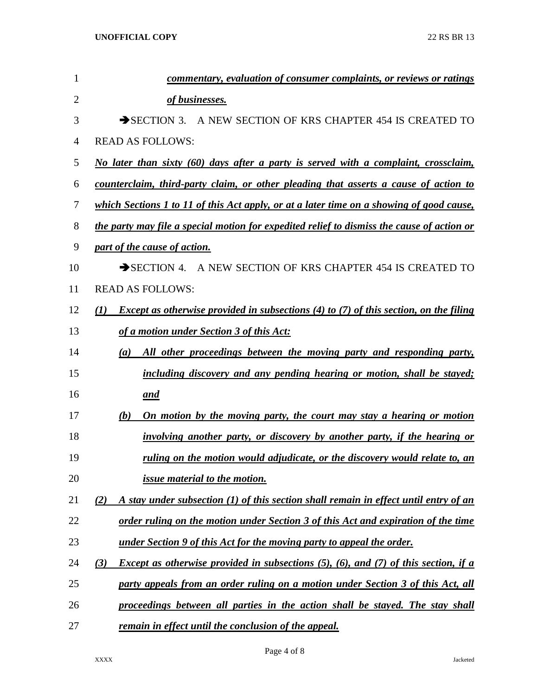| 1              | commentary, evaluation of consumer complaints, or reviews or ratings                                |
|----------------|-----------------------------------------------------------------------------------------------------|
| $\overline{2}$ | of businesses.                                                                                      |
| 3              | A NEW SECTION OF KRS CHAPTER 454 IS CREATED TO<br>$\rightarrow$ SECTION 3.                          |
| 4              | <b>READ AS FOLLOWS:</b>                                                                             |
| 5              | No later than sixty (60) days after a party is served with a complaint, crossclaim,                 |
| 6              | counterclaim, third-party claim, or other pleading that asserts a cause of action to                |
| 7              | which Sections 1 to 11 of this Act apply, or at a later time on a showing of good cause,            |
| 8              | the party may file a special motion for expedited relief to dismiss the cause of action or          |
| 9              | part of the cause of action.                                                                        |
| 10             | SECTION 4. A NEW SECTION OF KRS CHAPTER 454 IS CREATED TO                                           |
| 11             | <b>READ AS FOLLOWS:</b>                                                                             |
| 12             | <b>Except as otherwise provided in subsections (4) to (7) of this section, on the filing</b><br>(I) |
| 13             | of a motion under Section 3 of this Act:                                                            |
| 14             | All other proceedings between the moving party and responding party,<br>(a)                         |
| 15             | including discovery and any pending hearing or motion, shall be stayed;                             |
| 16             | and                                                                                                 |
| 17             | On motion by the moving party, the court may stay a hearing or motion<br>(b)                        |
| 18             | <i>involving another party, or discovery by another party, if the hearing or</i>                    |
| 19             | ruling on the motion would adjudicate, or the discovery would relate to, an                         |
| 20             | <i>issue material to the motion.</i>                                                                |
| 21             | A stay under subsection $(1)$ of this section shall remain in effect until entry of an<br>(2)       |
| 22             | order ruling on the motion under Section 3 of this Act and expiration of the time                   |
| 23             | under Section 9 of this Act for the moving party to appeal the order.                               |
| 24             | <i>Except as otherwise provided in subsections (5), (6), and (7) of this section, if a</i><br>(3)   |
| 25             | party appeals from an order ruling on a motion under Section 3 of this Act, all                     |
| 26             | proceedings between all parties in the action shall be stayed. The stay shall                       |
| 27             | remain in effect until the conclusion of the appeal.                                                |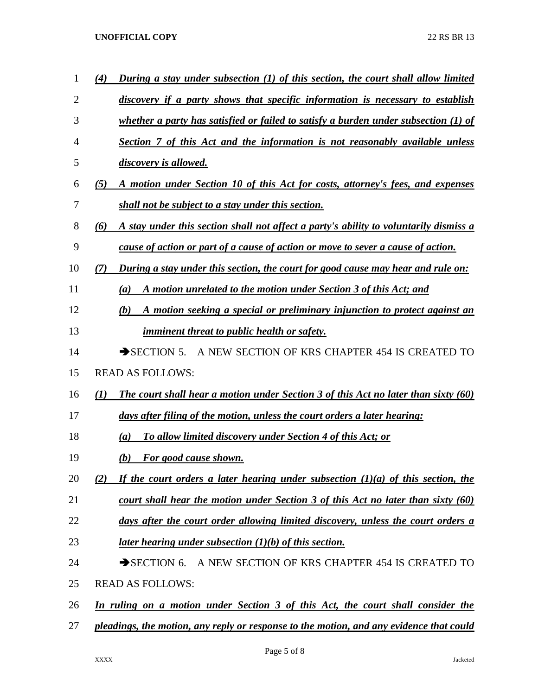## **UNOFFICIAL COPY** 22 RS BR 13

| 1              | (4)              | During a stay under subsection (1) of this section, the court shall allow limited       |
|----------------|------------------|-----------------------------------------------------------------------------------------|
| $\overline{2}$ |                  | discovery if a party shows that specific information is necessary to establish          |
| 3              |                  | whether a party has satisfied or failed to satisfy a burden under subsection (1) of     |
| 4              |                  | Section 7 of this Act and the information is not reasonably available unless            |
| 5              |                  | discovery is allowed.                                                                   |
| 6              | (5)              | A motion under Section 10 of this Act for costs, attorney's fees, and expenses          |
| 7              |                  | shall not be subject to a stay under this section.                                      |
| 8              | (6)              | A stay under this section shall not affect a party's ability to voluntarily dismiss a   |
| 9              |                  | cause of action or part of a cause of action or move to sever a cause of action.        |
| 10             | (7)              | During a stay under this section, the court for good cause may hear and rule on:        |
| 11             |                  | A motion unrelated to the motion under Section 3 of this Act; and<br>$\left(a\right)$   |
| 12             |                  | A motion seeking a special or preliminary injunction to protect against an<br>(b)       |
| 13             |                  | <i>imminent threat to public health or safety.</i>                                      |
| 14             |                  | $\rightarrow$ SECTION 5.<br>A NEW SECTION OF KRS CHAPTER 454 IS CREATED TO              |
| 15             |                  | <b>READ AS FOLLOWS:</b>                                                                 |
| 16             | $\mathcal{L}(I)$ | The court shall hear a motion under Section 3 of this Act no later than sixty (60)      |
| 17             |                  | days after filing of the motion, unless the court orders a later hearing:               |
| 18             |                  | To allow limited discovery under Section 4 of this Act; or<br>$\left(a\right)$          |
| 19             |                  | For good cause shown.<br>(b)                                                            |
| 20             | (2)              | If the court orders a later hearing under subsection $(1)(a)$ of this section, the      |
| 21             |                  | court shall hear the motion under Section 3 of this Act no later than sixty (60)        |
| 22             |                  | days after the court order allowing limited discovery, unless the court orders a        |
| 23             |                  | <u>later hearing under subsection (1)(b) of this section.</u>                           |
| 24             |                  | A NEW SECTION OF KRS CHAPTER 454 IS CREATED TO<br>$\rightarrow$ SECTION 6.              |
| 25             |                  | <b>READ AS FOLLOWS:</b>                                                                 |
| 26             |                  | In ruling on a motion under Section 3 of this Act, the court shall consider the         |
| 27             |                  | pleadings, the motion, any reply or response to the motion, and any evidence that could |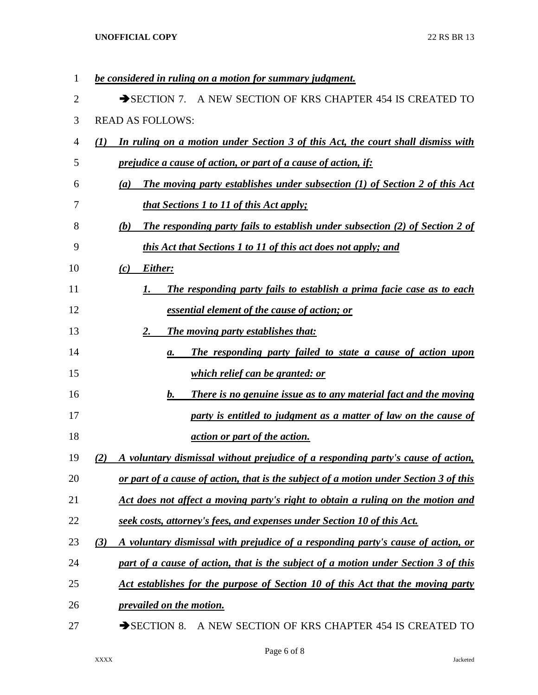| 1  | be considered in ruling on a motion for summary judgment.                                  |
|----|--------------------------------------------------------------------------------------------|
| 2  | A NEW SECTION OF KRS CHAPTER 454 IS CREATED TO<br>$\rightarrow$ SECTION 7.                 |
| 3  | <b>READ AS FOLLOWS:</b>                                                                    |
| 4  | In ruling on a motion under Section 3 of this Act, the court shall dismiss with<br>(1)     |
| 5  | <i>prejudice a cause of action, or part of a cause of action, if:</i>                      |
| 6  | The moving party establishes under subsection (1) of Section 2 of this Act<br>(a)          |
| 7  | <i>that Sections 1 to 11 of this Act apply;</i>                                            |
| 8  | <b>The responding party fails to establish under subsection (2) of Section 2 of</b><br>(b) |
| 9  | <i>this Act that Sections 1 to 11 of this act does not apply; and</i>                      |
| 10 | Either:<br>(c)                                                                             |
| 11 | The responding party fails to establish a prima facie case as to each<br>1.                |
| 12 | essential element of the cause of action; or                                               |
| 13 | The moving party establishes that:<br>2.                                                   |
| 14 | The responding party failed to state a cause of action upon<br>а.                          |
| 15 | <i>which relief can be granted: or</i>                                                     |
| 16 | <b>b.</b><br><b>There is no genuine issue as to any material fact and the moving</b>       |
| 17 | party is entitled to judgment as a matter of law on the cause of                           |
| 18 | <i><u>action or part of the action.</u></i>                                                |
| 19 | A voluntary dismissal without prejudice of a responding party's cause of action,<br>(2)    |
| 20 | or part of a cause of action, that is the subject of a motion under Section 3 of this      |
| 21 | Act does not affect a moving party's right to obtain a ruling on the motion and            |
| 22 | seek costs, attorney's fees, and expenses under Section 10 of this Act.                    |
| 23 | A voluntary dismissal with prejudice of a responding party's cause of action, or<br>(3)    |
| 24 | part of a cause of action, that is the subject of a motion under Section 3 of this         |
| 25 | Act establishes for the purpose of Section 10 of this Act that the moving party            |
| 26 | prevailed on the motion.                                                                   |
| 27 | SECTION 8.<br>A NEW SECTION OF KRS CHAPTER 454 IS CREATED TO                               |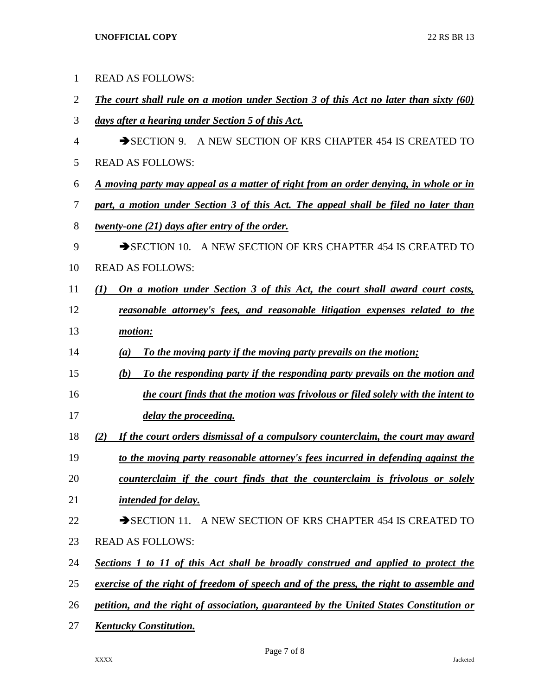| $\mathbf{1}$   | <b>READ AS FOLLOWS:</b>                                                                      |
|----------------|----------------------------------------------------------------------------------------------|
| $\overline{2}$ | <b>The court shall rule on a motion under Section 3 of this Act no later than sixty (60)</b> |
| 3              | days after a hearing under Section 5 of this Act.                                            |
| 4              | A NEW SECTION OF KRS CHAPTER 454 IS CREATED TO<br>$\rightarrow$ SECTION 9.                   |
| 5              | <b>READ AS FOLLOWS:</b>                                                                      |
| 6              | <u>A moving party may appeal as a matter of right from an order denying, in whole or in</u>  |
| 7              | part, a motion under Section 3 of this Act. The appeal shall be filed no later than          |
| 8              | twenty-one (21) days after entry of the order.                                               |
| 9              | SECTION 10. A NEW SECTION OF KRS CHAPTER 454 IS CREATED TO                                   |
| 10             | <b>READ AS FOLLOWS:</b>                                                                      |
| 11             | On a motion under Section 3 of this Act, the court shall award court costs,<br>(I)           |
| 12             | reasonable attorney's fees, and reasonable litigation expenses related to the                |
| 13             | motion:                                                                                      |
| 14             | To the moving party if the moving party prevails on the motion;<br>(a)                       |
| 15             | To the responding party if the responding party prevails on the motion and<br>(b)            |
| 16             | the court finds that the motion was frivolous or filed solely with the intent to             |
| 17             | delay the proceeding.                                                                        |
| 18             | If the court orders dismissal of a compulsory counterclaim, the court may award<br>(2)       |
| 19             | to the moving party reasonable attorney's fees incurred in defending against the             |
| 20             | counterclaim if the court finds that the counterclaim is frivolous or solely                 |
| 21             | <i>intended for delay.</i>                                                                   |
| 22             | SECTION 11. A NEW SECTION OF KRS CHAPTER 454 IS CREATED TO                                   |
| 23             | <b>READ AS FOLLOWS:</b>                                                                      |
| 24             | Sections 1 to 11 of this Act shall be broadly construed and applied to protect the           |
| 25             | exercise of the right of freedom of speech and of the press, the right to assemble and       |
| 26             | petition, and the right of association, guaranteed by the United States Constitution or      |
| 27             | <b>Kentucky Constitution.</b>                                                                |